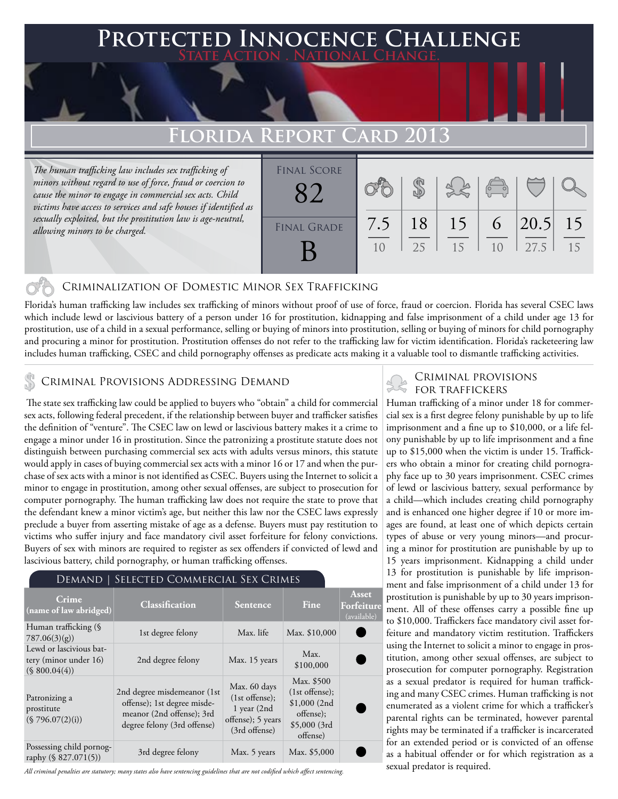## **FECTED INNOCENCE CHALLENGE State Action . National Change.**

# **Florida Report Card 2013**

*The human trafficking law includes sex trafficking of minors without regard to use of force, fraud or coercion to cause the minor to engage in commercial sex acts. Child victims have access to services and safe houses if identified as sexually exploited, but the prostitution law is age-neutral, allowing minors to be charged.*



### Criminalization of Domestic Minor Sex Trafficking

Florida's human trafficking law includes sex trafficking of minors without proof of use of force, fraud or coercion. Florida has several CSEC laws which include lewd or lascivious battery of a person under 16 for prostitution, kidnapping and false imprisonment of a child under age 13 for prostitution, use of a child in a sexual performance, selling or buying of minors into prostitution, selling or buying of minors for child pornography and procuring a minor for prostitution. Prostitution offenses do not refer to the trafficking law for victim identification. Florida's racketeering law includes human trafficking, CSEC and child pornography offenses as predicate acts making it a valuable tool to dismantle trafficking activities.

### CRIMINAL PROVISIONS ADDRESSING DEMAND

 The state sex trafficking law could be applied to buyers who "obtain" a child for commercial sex acts, following federal precedent, if the relationship between buyer and trafficker satisfies the definition of "venture". The CSEC law on lewd or lascivious battery makes it a crime to engage a minor under 16 in prostitution. Since the patronizing a prostitute statute does not distinguish between purchasing commercial sex acts with adults versus minors, this statute would apply in cases of buying commercial sex acts with a minor 16 or 17 and when the purchase of sex acts with a minor is not identified as CSEC. Buyers using the Internet to solicit a minor to engage in prostitution, among other sexual offenses, are subject to prosecution for computer pornography. The human trafficking law does not require the state to prove that the defendant knew a minor victim's age, but neither this law nor the CSEC laws expressly preclude a buyer from asserting mistake of age as a defense. Buyers must pay restitution to victims who suffer injury and face mandatory civil asset forfeiture for felony convictions. Buyers of sex with minors are required to register as sex offenders if convicted of lewd and lascivious battery, child pornography, or human trafficking offenses.

#### Demand | Selected Commercial Sex Crimes

| Crime.<br>(name of law abridged)                                  | <b>Classification</b>                                                                                                  | <b>Sentence</b>                                                                       | Fine                                                                                    | Asset<br>Forfeiture<br>(available) |
|-------------------------------------------------------------------|------------------------------------------------------------------------------------------------------------------------|---------------------------------------------------------------------------------------|-----------------------------------------------------------------------------------------|------------------------------------|
| Human trafficking (§<br>787.06(3)(g)                              | 1st degree felony                                                                                                      | Max. life                                                                             | Max. \$10,000                                                                           |                                    |
| Lewd or lascivious bat-<br>tery (minor under 16)<br>(S 800.04(4)) | 2nd degree felony                                                                                                      | Max. 15 years                                                                         | Max.<br>\$100,000                                                                       |                                    |
| Patronizing a<br>prostitute<br>(\$796.07(2)(i))                   | 2nd degree misdemeanor (1st<br>offense); 1st degree misde-<br>meanor (2nd offense); 3rd<br>degree felony (3rd offense) | Max. 60 days<br>$(1st$ offense);<br>1 year (2nd<br>offense); 5 years<br>(3rd offense) | Max. \$500<br>$(1st$ offense);<br>\$1,000(2nd)<br>offense);<br>\$5,000(3rd)<br>offense) |                                    |
| Possessing child pornog-<br>raphy (§ 827.071(5))                  | 3rd degree felony                                                                                                      | Max. 5 years                                                                          | Max. \$5,000                                                                            |                                    |

*All criminal penalties are statutory; many states also have sentencing guidelines that are not codified which affect sentencing.* 

## CRIMINAL PROVISIONS<br>FOR TRAFFICKERS<br>Human trafficking of a minor under 18 for commer-Criminal provisions

cial sex is a first degree felony punishable by up to life imprisonment and a fine up to \$10,000, or a life felony punishable by up to life imprisonment and a fine up to \$15,000 when the victim is under 15. Traffickers who obtain a minor for creating child pornography face up to 30 years imprisonment. CSEC crimes of lewd or lascivious battery, sexual performance by a child—which includes creating child pornography and is enhanced one higher degree if 10 or more images are found, at least one of which depicts certain types of abuse or very young minors—and procuring a minor for prostitution are punishable by up to 15 years imprisonment. Kidnapping a child under 13 for prostitution is punishable by life imprisonment and false imprisonment of a child under 13 for prostitution is punishable by up to 30 years imprisonment. All of these offenses carry a possible fine up to \$10,000. Traffickers face mandatory civil asset forfeiture and mandatory victim restitution. Traffickers using the Internet to solicit a minor to engage in prostitution, among other sexual offenses, are subject to prosecution for computer pornography. Registration as a sexual predator is required for human trafficking and many CSEC crimes. Human trafficking is not enumerated as a violent crime for which a trafficker's parental rights can be terminated, however parental rights may be terminated if a trafficker is incarcerated for an extended period or is convicted of an offense as a habitual offender or for which registration as a sexual predator is required.